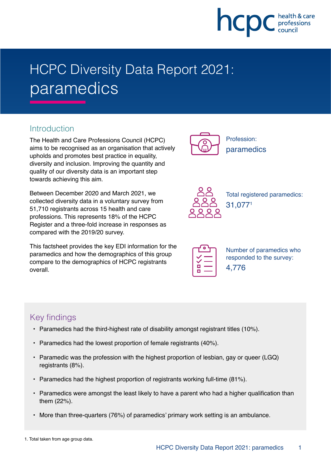

# HCPC Diversity Data Report 2021: paramedics

## **Introduction**

The Health and Care Professions Council (HCPC) aims to be recognised as an organisation that actively upholds and promotes best practice in equality, diversity and inclusion. Improving the quantity and quality of our diversity data is an important step towards achieving this aim.

Between December 2020 and March 2021, we collected diversity data in a voluntary survey from 51,710 registrants across 15 health and care professions. This represents 18% of the HCPC Register and a three-fold increase in responses as compared with the 2019/20 survey.

This factsheet provides the key EDI information for the paramedics and how the demographics of this group compare to the demographics of HCPC registrants overall.



Profession: paramedics



Total registered paramedics: 31,0771

| α |  |
|---|--|
|   |  |

Number of paramedics who responded to the survey: 4,776

## Key findings

- Paramedics had the third-highest rate of disability amongst registrant titles (10%).
- Paramedics had the lowest proportion of female registrants (40%).
- Paramedic was the profession with the highest proportion of lesbian, gay or queer (LGQ) registrants (8%).
- Paramedics had the highest proportion of registrants working full-time (81%).
- Paramedics were amongst the least likely to have a parent who had a higher qualification than them (22%).
- More than three-quarters (76%) of paramedics' primary work setting is an ambulance.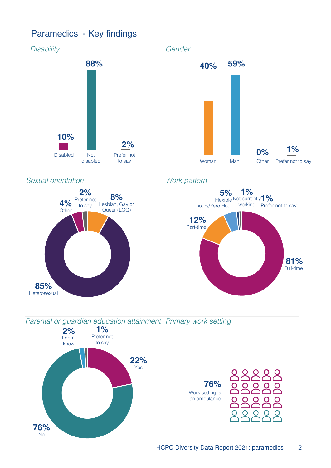# Paramedics - Key findings

**76%** No



**76%**

 Work setting is an ambulance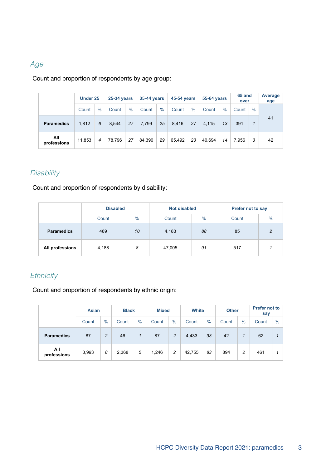### Age

#### Count and proportion of respondents by age group:

|                    | Under 25 |      |        | <b>25-34 years</b> |        | <b>35-44 years</b> |        | <b>45-54 years</b> |        | <b>55-64 years</b> |       | 65 and<br>over | Average<br>age |
|--------------------|----------|------|--------|--------------------|--------|--------------------|--------|--------------------|--------|--------------------|-------|----------------|----------------|
|                    | Count    | $\%$ | Count  | $\%$               | Count  | $\frac{0}{0}$      | Count  | $\%$               | Count  | $\%$               | Count | $\%$           |                |
| <b>Paramedics</b>  | 1.812    | 6    | 8.544  | 27                 | 7,799  | 25                 | 8.416  | 27                 | 4.115  | 13                 | 391   | 1              | 41             |
| All<br>professions | 11,853   | 4    | 78.796 | 27                 | 84.390 | 29                 | 65.492 | 23                 | 40.694 | 14                 | 7.956 | 3              | 42             |

#### **Disability**

Count and proportion of respondents by disability:

|                   | <b>Disabled</b> |    | <b>Not disabled</b> |               | Prefer not to say      |   |  |
|-------------------|-----------------|----|---------------------|---------------|------------------------|---|--|
|                   | $\%$<br>Count   |    | Count               | $\frac{0}{0}$ | $\frac{0}{0}$<br>Count |   |  |
| <b>Paramedics</b> | 489             | 10 | 4,183               | 88            | 85                     | C |  |
| All professions   | 4,188           | 8  | 47,005              | 91            | 517                    |   |  |

#### **Ethnicity**

Count and proportion of respondents by ethnic origin:

|                    | <b>Asian</b> |                | <b>Black</b> |      |       | <b>Mixed</b>   |        | <b>White</b> |       | <b>Other</b> | <b>Prefer not to</b><br>say |      |
|--------------------|--------------|----------------|--------------|------|-------|----------------|--------|--------------|-------|--------------|-----------------------------|------|
|                    | Count        | $\frac{0}{0}$  | Count        | $\%$ | Count | $\%$           | Count  | $\%$         | Count | $\%$         | Count                       | $\%$ |
| <b>Paramedics</b>  | 87           | $\overline{c}$ | 46           | 1    | 87    | $\overline{c}$ | 4,433  | 93           | 42    | 1            | 62                          |      |
| All<br>professions | 3,993        | 8              | 2,368        | 5    | 1,246 | 2              | 42,755 | 83           | 894   | 2            | 461                         |      |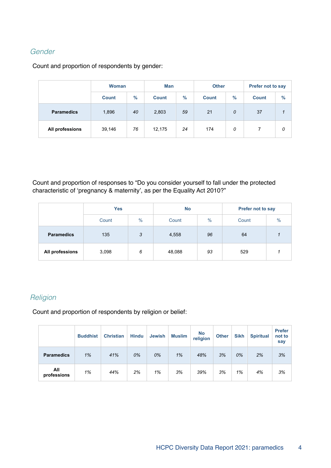#### Gender

Count and proportion of respondents by gender:

|                   | <b>Woman</b> |      | <b>Man</b>   |      | <b>Other</b> |      | Prefer not to say |      |  |
|-------------------|--------------|------|--------------|------|--------------|------|-------------------|------|--|
|                   | <b>Count</b> | $\%$ | <b>Count</b> | $\%$ | <b>Count</b> | $\%$ | <b>Count</b>      | $\%$ |  |
| <b>Paramedics</b> | 1,896        | 40   | 2,803        | 59   | 21           | 0    | 37                | 1    |  |
| All professions   | 39,146       | 76   | 12,175       | 24   | 174          | 0    |                   | 0    |  |

Count and proportion of responses to "Do you consider yourself to fall under the protected characteristic of 'pregnancy & maternity', as per the Equality Act 2010?"

|                   | <b>Yes</b>    |   | <b>No</b> |               | <b>Prefer not to say</b> |               |  |
|-------------------|---------------|---|-----------|---------------|--------------------------|---------------|--|
|                   | $\%$<br>Count |   | Count     | $\frac{0}{0}$ | Count                    | $\frac{0}{0}$ |  |
| <b>Paramedics</b> | 135           | 3 | 4,558     | 96            | 64                       |               |  |
| All professions   | 3,098         | 6 | 48,088    | 93            | 529                      |               |  |

#### **Religion**

Count and proportion of respondents by religion or belief:

|                    | <b>Buddhist</b> | <b>Christian</b> | <b>Hindu</b> | <b>Jewish</b> | <b>Muslim</b> | <b>No</b><br>religion | <b>Other</b> | <b>Sikh</b> | <b>Spiritual</b> | <b>Prefer</b><br>not to<br>say |
|--------------------|-----------------|------------------|--------------|---------------|---------------|-----------------------|--------------|-------------|------------------|--------------------------------|
| <b>Paramedics</b>  | 1%              | 41%              | 0%           | 0%            | 1%            | 48%                   | 3%           | 0%          | 2%               | 3%                             |
| All<br>professions | 1%              | 44%              | 2%           | 1%            | 3%            | 39%                   | 3%           | 1%          | 4%               | 3%                             |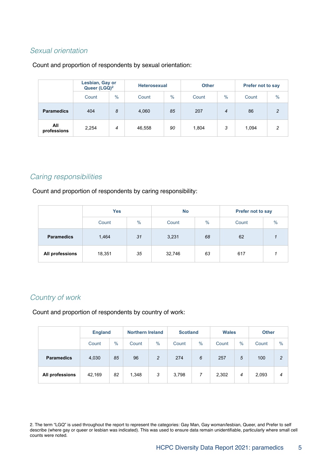#### Sexual orientation

#### Count and proportion of respondents by sexual orientation:

|                    | Lesbian, Gay or<br>Queer (LGQ) <sup>2</sup> |               | <b>Heterosexual</b> |               | <b>Other</b> |                | <b>Prefer not to say</b> |                |  |
|--------------------|---------------------------------------------|---------------|---------------------|---------------|--------------|----------------|--------------------------|----------------|--|
|                    | Count                                       | $\frac{0}{0}$ | Count               | $\frac{0}{0}$ | Count        | $\frac{0}{0}$  | Count                    | $\frac{0}{0}$  |  |
| <b>Paramedics</b>  | 404                                         | 8             | 4,060               | 85            | 207          | $\overline{4}$ | 86                       | $\mathfrak{p}$ |  |
| All<br>professions | 2,254                                       | 4             | 46,558              | 90            | 1,804        | 3              | 1,094                    | $\mathcal{P}$  |  |

#### Caring responsibilities

Count and proportion of respondents by caring responsibility:

|                   | <b>Yes</b> |               | <b>No</b> |      | <b>Prefer not to say</b> |      |  |
|-------------------|------------|---------------|-----------|------|--------------------------|------|--|
|                   | Count      | $\frac{0}{0}$ | Count     | $\%$ | Count                    | $\%$ |  |
| <b>Paramedics</b> | 1,464      | 31            | 3,231     | 68   | 62                       |      |  |
| All professions   | 18,351     | 35            | 32,746    | 63   | 617                      |      |  |

#### Country of work

Count and proportion of respondents by country of work:

|                   |        | <b>England</b> |       | <b>Northern Ireland</b> |       | <b>Scotland</b> | <b>Wales</b> |      | <b>Other</b> |               |
|-------------------|--------|----------------|-------|-------------------------|-------|-----------------|--------------|------|--------------|---------------|
|                   | Count  | $\%$           | Count | $\%$                    | Count | $\%$            | Count        | $\%$ | Count        | $\frac{0}{0}$ |
| <b>Paramedics</b> | 4,030  | 85             | 96    | $\overline{c}$          | 274   | 6               | 257          | 5    | 100          | $\mathcal{P}$ |
| All professions   | 42,169 | 82             | 1,348 | 3                       | 3,798 | 7               | 2,302        | 4    | 2,093        | 4             |

2. The term "LGQ" is used throughout the report to represent the categories: Gay Man, Gay woman/lesbian, Queer, and Prefer to self describe (where gay or queer or lesbian was indicated). This was used to ensure data remain unidentifiable, particularly where small cell counts were noted.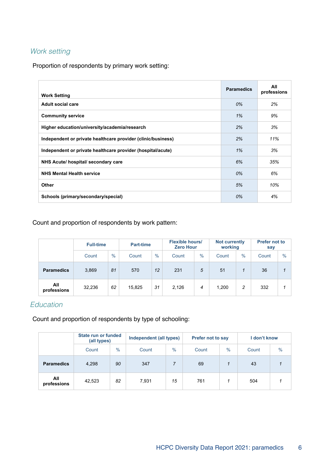#### Work setting

Proportion of respondents by primary work setting:

| <b>Work Setting</b>                                          | <b>Paramedics</b> | All<br>professions |
|--------------------------------------------------------------|-------------------|--------------------|
| Adult social care                                            | 0%                | 2%                 |
| <b>Community service</b>                                     | 1%                | 9%                 |
| Higher education/university/academia/research                | 2%                | 3%                 |
| Independent or private healthcare provider (clinic/business) | 2%                | 11%                |
| Independent or private healthcare provider (hospital/acute)  | 1%                | 3%                 |
| NHS Acute/ hospital/ secondary care                          | 6%                | 35%                |
| <b>NHS Mental Health service</b>                             | 0%                | 6%                 |
| Other                                                        | 5%                | 10%                |
| Schools (primary/secondary/special)                          | 0%                | 4%                 |

#### Count and proportion of respondents by work pattern:

|                    | <b>Full-time</b> |      | <b>Part-time</b> |               |       | <b>Flexible hours/</b><br><b>Zero Hour</b> |       | <b>Not currently</b><br>working | <b>Prefer not to</b><br>say |      |
|--------------------|------------------|------|------------------|---------------|-------|--------------------------------------------|-------|---------------------------------|-----------------------------|------|
|                    | Count            | $\%$ | Count            | $\frac{0}{0}$ | Count | $\frac{0}{0}$                              | Count | $\frac{0}{0}$                   | Count                       | $\%$ |
| <b>Paramedics</b>  | 3,869            | 81   | 570              | 12            | 231   | 5                                          | 51    |                                 | 36                          |      |
| All<br>professions | 32,236           | 62   | 15,825           | 31            | 2,126 | 4                                          | 1,200 | 2                               | 332                         |      |

### Education

Count and proportion of respondents by type of schooling:

|                    | State run or funded<br>(all types) |               | Independent (all types) |      | <b>Prefer not to say</b> |               | I don't know |               |
|--------------------|------------------------------------|---------------|-------------------------|------|--------------------------|---------------|--------------|---------------|
|                    | Count                              | $\frac{0}{0}$ | Count                   | $\%$ | Count                    | $\frac{0}{0}$ | Count        | $\frac{0}{0}$ |
| <b>Paramedics</b>  | 4,298                              | 90            | 347                     |      | 69                       |               | 43           |               |
| All<br>professions | 42,523                             | 82            | 7,931                   | 15   | 761                      |               | 504          |               |